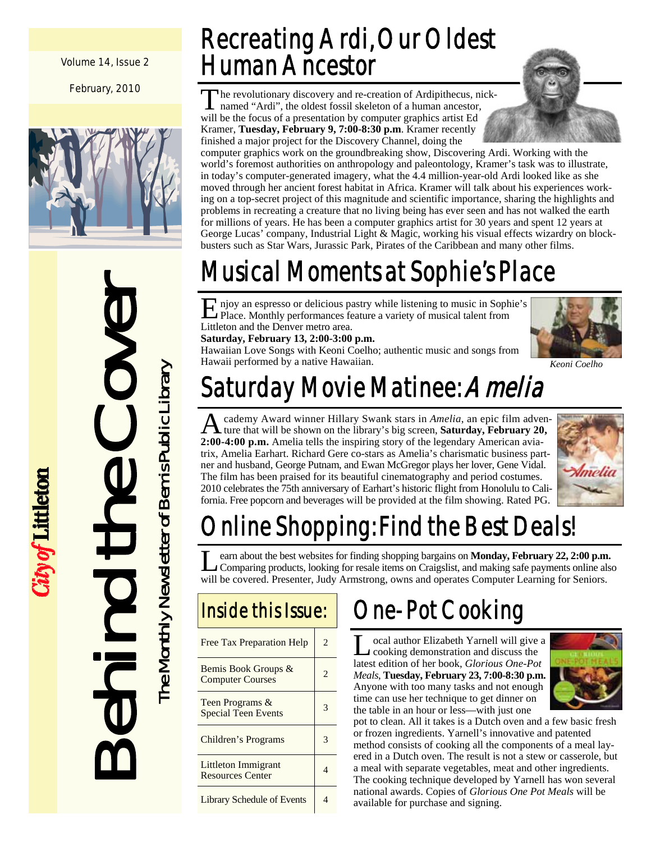Volume 14, Issue 2

February, 2010





City of Littleton

### Recreating Ardi, Our Oldest Human Ancestor

The revolutionary discovery and re-creation of Ardipithecus, nicknamed "Ardi", the oldest fossil skeleton of a human ancestor, will be the focus of a presentation by computer graphics artist Ed Kramer, **Tuesday, February 9, 7:00-8:30 p.m**. Kramer recently finished a major project for the Discovery Channel, doing the

computer graphics work on the groundbreaking show, Discovering Ardi. Working with the world's foremost authorities on anthropology and paleontology, Kramer's task was to illustrate, in today's computer-generated imagery, what the 4.4 million-year-old Ardi looked like as she moved through her ancient forest habitat in Africa. Kramer will talk about his experiences working on a top-secret project of this magnitude and scientific importance, sharing the highlights and problems in recreating a creature that no living being has ever seen and has not walked the earth for millions of years. He has been a computer graphics artist for 30 years and spent 12 years at George Lucas' company, Industrial Light & Magic, working his visual effects wizardry on blockbusters such as Star Wars, Jurassic Park, Pirates of the Caribbean and many other films.

## Musical Moments at Sophie's Place

E njoy an espresso or delicious pastry while listening to music in Sophie's Place. Monthly performances feature a variety of musical talent from Littleton and the Denver metro area.

**Saturday, February 13, 2:00-3:00 p.m.** 

Hawaiian Love Songs with Keoni Coelho; authentic music and songs from Hawaii performed by a native Hawaiian. *Keoni Coelho* 



# Saturday Movie Matinee: Amelia

cademy Award winner Hillary Swank stars in *Amelia*, an epic film adventure that will be shown on the library's big screen, **Saturday, February 20, 2:00-4:00 p.m.** Amelia tells the inspiring story of the legendary American aviatrix, Amelia Earhart. Richard Gere co-stars as Amelia's charismatic business partner and husband, George Putnam, and Ewan McGregor plays her lover, Gene Vidal. The film has been praised for its beautiful cinematography and period costumes. 2010 celebrates the 75th anniversary of Earhart's historic flight from Honolulu to California. Free popcorn and beverages will be provided at the film showing. Rated PG.



# Inline Shopping: Find the Best Deals!

L earn about the best websites for finding shopping bargains on **Monday, February 22, 2:00 p.m.**<br>Comparing products, looking for resale items on Craigslist, and making safe payments online also will be covered. Presenter, Judy Armstrong, owns and operates Computer Learning for Seniors.

### Inside this Issue:

| Free Tax Preparation Help                      |  |
|------------------------------------------------|--|
| Bemis Book Groups &<br><b>Computer Courses</b> |  |
| Teen Programs &<br><b>Special Teen Events</b>  |  |
| Children's Programs                            |  |
| Littleton Immigrant<br><b>Resources Center</b> |  |
| <b>Library Schedule of Events</b>              |  |

## One-Pot Cooking

ocal author Elizabeth Yarnell will give a cooking demonstration and discuss the latest edition of her book, *Glorious One-Pot Meals*, **Tuesday, February 23, 7:00-8:30 p.m.**  Anyone with too many tasks and not enough time can use her technique to get dinner on the table in an hour or less—with just one



pot to clean. All it takes is a Dutch oven and a few basic fresh or frozen ingredients. Yarnell's innovative and patented method consists of cooking all the components of a meal layered in a Dutch oven. The result is not a stew or casserole, but a meal with separate vegetables, meat and other ingredients. The cooking technique developed by Yarnell has won several national awards. Copies of *Glorious One Pot Meals* will be available for purchase and signing.

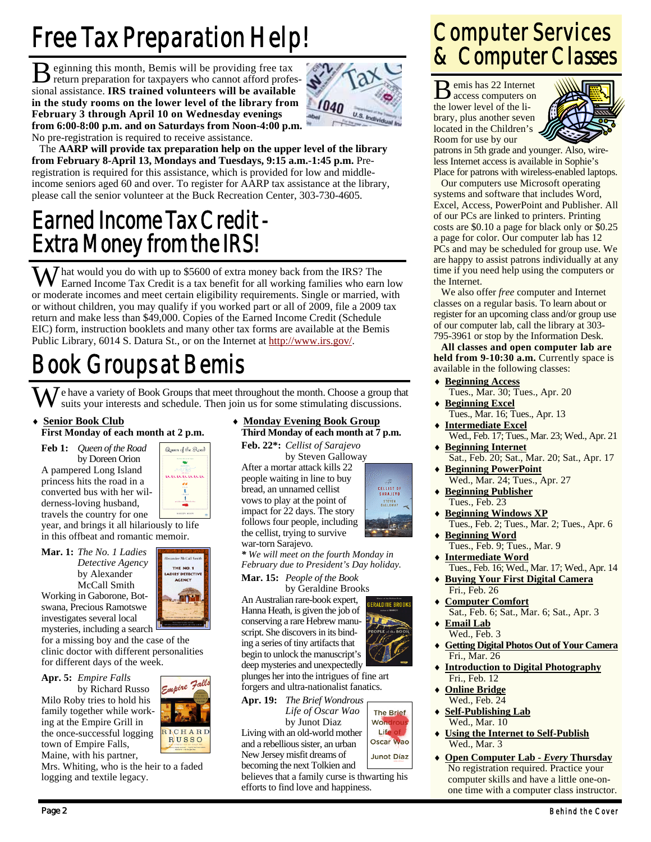# Free Tax Preparation Help!

B eginning this month, Bemis will be providing free tax return preparation for taxpayers who cannot afford professional assistance. **IRS trained volunteers will be available in the study rooms on the lower level of the library from February 3 through April 10 on Wednesday evenings from 6:00-8:00 p.m. and on Saturdays from Noon-4:00 p.m.**  No pre-registration is required to receive assistance.



 The **AARP will provide tax preparation help on the upper level of the library from February 8-April 13, Mondays and Tuesdays, 9:15 a.m.-1:45 p.m.** Preregistration is required for this assistance, which is provided for low and middleincome seniors aged 60 and over. To register for AARP tax assistance at the library, please call the senior volunteer at the Buck Recreation Center, 303-730-4605.

### Earned Income Tax Credit - Extra Money from the IRS!

W hat would you do with up to \$5600 of extra money back from the IRS? The Earned Income Tax Cradit is a top because of the City of the US of the US of the US of the US of the US of the US of the US of the US of the US of t Earned Income Tax Credit is a tax benefit for all working families who earn low or moderate incomes and meet certain eligibility requirements. Single or married, with or without children, you may qualify if you worked part or all of 2009, file a 2009 tax return and make less than \$49,000. Copies of the Earned Income Credit (Schedule EIC) form, instruction booklets and many other tax forms are available at the Bemis Public Library, 6014 S. Datura St., or on the Internet at http://www.irs.gov/.

### Book Groups at Bemis

 $\overline{J}$  e have a variety of Book Groups that meet throughout the month. Choose a group that suits your interests and schedule. Then join us for some stimulating discussions.

**Senior Book Club First Monday of each month at 2 p.m.** 

**Feb 1:** *Queen of the Road*  by Doreen Orion A pampered Long Island princess hits the road in a converted bus with her wilderness-loving husband,



THE NO. 1 ADIES' DETECTIVE<br>AGENCY

m

RICHARD

**RUSSO** 

travels the country for one year, and brings it all hilariously to life in this offbeat and romantic memoir.

**Mar. 1:** *The No. 1 Ladies Detective Agency*  by Alexander McCall Smith

Working in Gaborone, Botswana, Precious Ramotswe investigates several local mysteries, including a search <sup>l</sup>

for a missing boy and the case of the clinic doctor with different personalities for different days of the week.

**Apr. 5:** *Empire Falls* 

by Richard Russo Milo Roby tries to hold his family together while working at the Empire Grill in the once-successful logging town of Empire Falls, Maine, with his partner,

Mrs. Whiting, who is the heir to a faded logging and textile legacy.

### ♦ **Monday Evening Book Group Third Monday of each month at 7 p.m.**

**Feb. 22\*:** *Cellist of Sarajevo* 

 by Steven Galloway After a mortar attack kills 22 people waiting in line to buy bread, an unnamed cellist vows to play at the point of impact for 22 days. The story follows four people, including the cellist, trying to survive war-torn Sarajevo.

*\* We will meet on the fourth Monday in February due to President's Day holiday.* 

**Mar. 15:** *People of the Book* 

An Australian rare-book expert, Hanna Heath, is given the job of conserving a rare Hebrew manuscript. She discovers in its binding a series of tiny artifacts that begin to unlock the manuscript's deep mysteries and unexpectedly plunges her into the intrigues of fine art

forgers and ultra-nationalist fanatics. **Apr. 19:** *The Brief Wondrous* 

 *Life of Oscar Wao*  by Junot Diaz Living with an old-world mother and a rebellious sister, an urban New Jersey misfit dreams of

becoming the next Tolkien and believes that a family curse is thwarting his efforts to find love and happiness.

### Computer Services & Computer Classes

B emis has 22 Internet access computers on the lower level of the library, plus another seven located in the Children's Room for use by our



patrons in 5th grade and younger. Also, wireless Internet access is available in Sophie's Place for patrons with wireless-enabled laptops.

 Our computers use Microsoft operating systems and software that includes Word, Excel, Access, PowerPoint and Publisher. All of our PCs are linked to printers. Printing costs are \$0.10 a page for black only or \$0.25 a page for color. Our computer lab has 12 PCs and may be scheduled for group use. We are happy to assist patrons individually at any time if you need help using the computers or the Internet.

 We also offer *free* computer and Internet classes on a regular basis. To learn about or register for an upcoming class and/or group use of our computer lab, call the library at 303- 795-3961 or stop by the Information Desk.

**All classes and open computer lab are**  held from 9-10:30 a.m. Currently space is available in the following classes:

**Beginning Access**  Tues., Mar. 30; Tues., Apr. 20 **Beginning Excel**  Tues., Mar. 16; Tues., Apr. 13 **Intermediate Excel**  Wed., Feb. 17; Tues., Mar. 23; Wed., Apr. 21 **Beginning Internet**  Sat., Feb. 20; Sat., Mar. 20; Sat., Apr. 17 **Beginning PowerPoint**  Wed., Mar. 24; Tues., Apr. 27 ♦ **Beginning Publisher** Tues., Feb. 23 **Beginning Windows XP** Tues., Feb. 2; Tues., Mar. 2; Tues., Apr. 6 ♦ **Beginning Word** Tues., Feb. 9; Tues., Mar. 9 ♦ **Intermediate Word** Tues., Feb. 16; Wed., Mar. 17; Wed., Apr. 14 ♦ **Buying Your First Digital Camera** Fri., Feb. 26 ♦ **Computer Comfort**



- Wed., Feb. 3
- ♦ **Getting Digital Photos Out of Your Camera** Fri., Mar. 26
- ♦ **Introduction to Digital Photography** Fri., Feb. 12
- **Online Bridge** Wed., Feb. 24
- ♦ **Self-Publishing Lab** Wed., Mar. 10
- ♦ **Open Computer Lab** *Every* **Thursday** No registration required. Practice your computer skills and have a little one-onone time with a computer class instructor.





CELLIST OF<br>SARAJEVO STEVEN<br>GALLOWAY

ERALDINE BROOK

Life

Oscar Wao **Junot Díaz** 

♦ **Using the Internet to Self-Publish** Wed., Mar. 3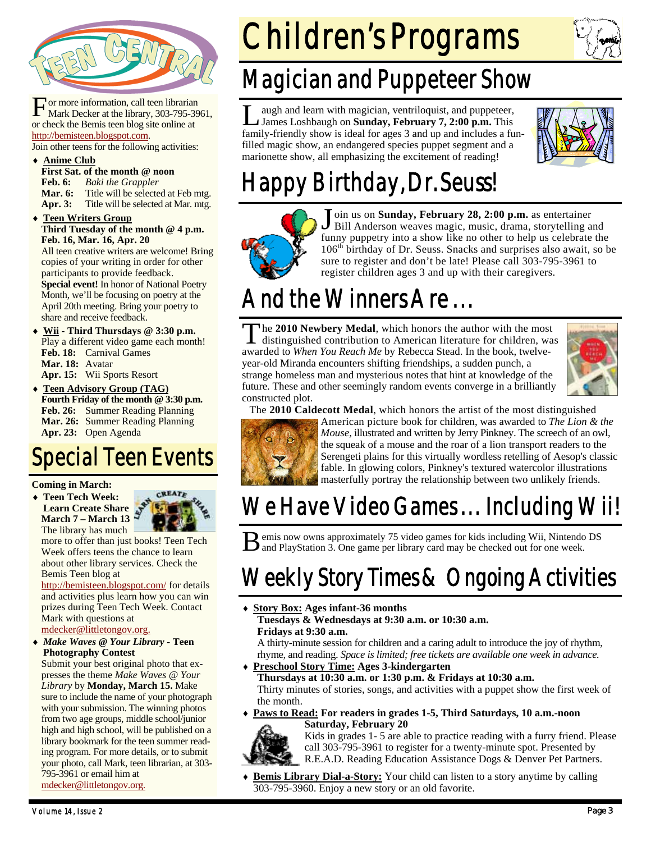

For more information, call teen librarian<br>Mark Decker at the library, 303-795-3961, or check the Bemis teen blog site online at http://bemisteen.blogspot.com.

Join other teens for the following activities:

- ♦ **Anime Club**
- **First Sat. of the month @ noon**

**Feb. 6:** *Baki the Grappler* 

Mar. 6: Title will be selected at Feb mtg.

**Apr. 3:** Title will be selected at Mar. mtg.

**Teen Writers Group Third Tuesday of the month @ 4 p.m. Feb. 16, Mar. 16, Apr. 20** 

All teen creative writers are welcome! Bring copies of your writing in order for other participants to provide feedback. **Special event!** In honor of National Poetry Month, we'll be focusing on poetry at the April 20th meeting. Bring your poetry to share and receive feedback.

Wii - Third Thursdays @ 3:30 p.m. Play a different video game each month! **Feb. 18:** Carnival Games **Mar. 18:** Avatar **Apr. 15:** Wii Sports Resort

♦ **Teen Advisory Group (TAG) Fourth Friday of the month @ 3:30 p.m. Feb. 26:** Summer Reading Planning **Mar. 26:** Summer Reading Planning **Apr. 23:** Open Agenda

### Special Teen Events

#### **Coming in March:**

♦ **Teen Tech Week: Learn Create Share March 7 – March 13**  The library has much



more to offer than just books! Teen Tech Week offers teens the chance to learn about other library services. Check the Bemis Teen blog at

http://bemisteen.blogspot.com/ for details and activities plus learn how you can win prizes during Teen Tech Week. Contact Mark with questions at mdecker@littletongov.org.

♦ *Make Waves @ Your Library -* **Teen Photography Contest** 

Submit your best original photo that expresses the theme *Make Waves @ Your Library* by **Monday, March 15.** Make sure to include the name of your photograph with your submission. The winning photos from two age groups, middle school/junior high and high school, will be published on a library bookmark for the teen summer reading program. For more details, or to submit your photo, call Mark, teen librarian, at 303- 795-3961 or email him at mdecker@littletongov.org.

# Children's Programs



### Magician and Puppeteer Show

augh and learn with magician, ventriloquist, and puppeteer, James Loshbaugh on **Sunday, February 7, 2:00 p.m.** This family-friendly show is ideal for ages 3 and up and includes a funfilled magic show, an endangered species puppet segment and a marionette show, all emphasizing the excitement of reading!



### Happy Birthday, Dr. Seuss!



J oin us on **Sunday, February 28, 2:00 p.m.** as entertainer Bill Anderson weaves magic, music, drama, storytelling and funny puppetry into a show like no other to help us celebrate the  $106<sup>th</sup>$  birthday of Dr. Seuss. Snacks and surprises also await, so be sure to register and don't be late! Please call 303-795-3961 to register children ages 3 and up with their caregivers.

# And the Winners Are...

T he **2010 Newbery Medal**, which honors the author with the most distinguished contribution to American literature for children, was awarded to *When You Reach Me* by Rebecca Stead. In the book, twelveyear-old Miranda encounters shifting friendships, a sudden punch, a strange homeless man and mysterious notes that hint at knowledge of the future. These and other seemingly random events converge in a brilliantly constructed plot.



The **2010 Caldecott Medal**, which honors the artist of the most distinguished



American picture book for children, was awarded to *The Lion & the Mouse,* illustrated and written by Jerry Pinkney. The screech of an owl, the squeak of a mouse and the roar of a lion transport readers to the Serengeti plains for this virtually wordless retelling of Aesop's classic fable. In glowing colors, Pinkney's textured watercolor illustrations masterfully portray the relationship between two unlikely friends.

### We Have Video Games... Including Wii!

B emis now owns approximately 75 video games for kids including Wii, Nintendo DS and PlayStation 3. One game per library card may be checked out for one week.

### Weekly Story Times & Ongoing Activities

♦ **Story Box: Ages infant-36 months** 

 **Tuesdays & Wednesdays at 9:30 a.m. or 10:30 a.m. Fridays at 9:30 a.m.** 

A thirty-minute session for children and a caring adult to introduce the joy of rhythm, rhyme, and reading. *Space is limited; free tickets are available one week in advance.* 

♦ **Preschool Story Time: Ages 3-kindergarten** 

 **Thursdays at 10:30 a.m. or 1:30 p.m. & Fridays at 10:30 a.m.**  Thirty minutes of stories, songs, and activities with a puppet show the first week of the month.

♦ **Paws to Read: For readers in grades 1-5, Third Saturdays, 10 a.m.-noon Saturday, February 20** 



Kids in grades 1- 5 are able to practice reading with a furry friend. Please call 303-795-3961 to register for a twenty-minute spot. Presented by R.E.A.D. Reading Education Assistance Dogs & Denver Pet Partners.

**Bemis Library Dial-a-Story:** Your child can listen to a story anytime by calling 303-795-3960. Enjoy a new story or an old favorite.